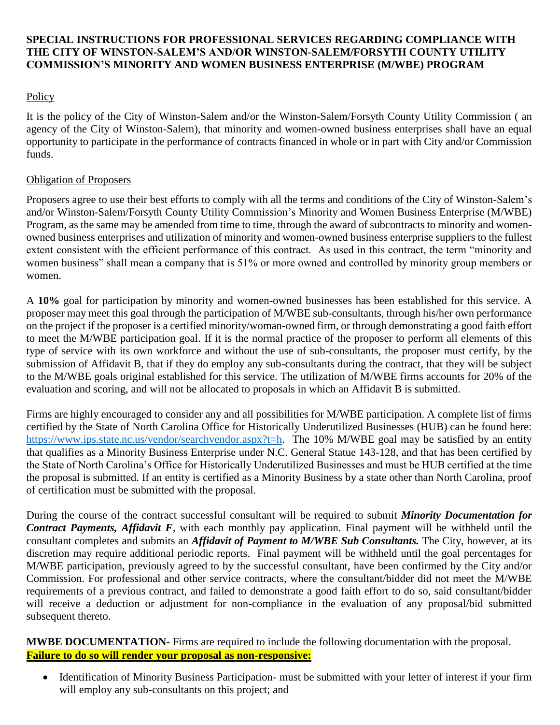## **SPECIAL INSTRUCTIONS FOR PROFESSIONAL SERVICES REGARDING COMPLIANCE WITH THE CITY OF WINSTON-SALEM'S AND/OR WINSTON-SALEM/FORSYTH COUNTY UTILITY COMMISSION'S MINORITY AND WOMEN BUSINESS ENTERPRISE (M/WBE) PROGRAM**

## Policy

It is the policy of the City of Winston-Salem and/or the Winston-Salem/Forsyth County Utility Commission ( an agency of the City of Winston-Salem), that minority and women-owned business enterprises shall have an equal opportunity to participate in the performance of contracts financed in whole or in part with City and/or Commission funds.

## Obligation of Proposers

Proposers agree to use their best efforts to comply with all the terms and conditions of the City of Winston-Salem's and/or Winston-Salem/Forsyth County Utility Commission's Minority and Women Business Enterprise (M/WBE) Program, as the same may be amended from time to time, through the award of subcontracts to minority and womenowned business enterprises and utilization of minority and women-owned business enterprise suppliers to the fullest extent consistent with the efficient performance of this contract. As used in this contract, the term "minority and women business" shall mean a company that is 51% or more owned and controlled by minority group members or women.

A **10%** goal for participation by minority and women-owned businesses has been established for this service. A proposer may meet this goal through the participation of M/WBE sub-consultants, through his/her own performance on the project if the proposer is a certified minority/woman-owned firm, or through demonstrating a good faith effort to meet the M/WBE participation goal. If it is the normal practice of the proposer to perform all elements of this type of service with its own workforce and without the use of sub-consultants, the proposer must certify, by the submission of Affidavit B, that if they do employ any sub-consultants during the contract, that they will be subject to the M/WBE goals original established for this service. The utilization of M/WBE firms accounts for 20% of the evaluation and scoring, and will not be allocated to proposals in which an Affidavit B is submitted.

Firms are highly encouraged to consider any and all possibilities for M/WBE participation. A complete list of firms certified by the State of North Carolina Office for Historically Underutilized Businesses (HUB) can be found here: [https://www.ips.state.nc.us/vendor/searchvendor.aspx?t=h.](https://www.ips.state.nc.us/vendor/searchvendor.aspx?t=h) The 10% M/WBE goal may be satisfied by an entity that qualifies as a Minority Business Enterprise under N.C. General Statue 143-128, and that has been certified by the State of North Carolina's Office for Historically Underutilized Businesses and must be HUB certified at the time the proposal is submitted. If an entity is certified as a Minority Business by a state other than North Carolina, proof of certification must be submitted with the proposal.

During the course of the contract successful consultant will be required to submit *Minority Documentation for Contract Payments, Affidavit F*, with each monthly pay application. Final payment will be withheld until the consultant completes and submits an *Affidavit of Payment to M/WBE Sub Consultants.* The City, however, at its discretion may require additional periodic reports. Final payment will be withheld until the goal percentages for M/WBE participation, previously agreed to by the successful consultant, have been confirmed by the City and/or Commission. For professional and other service contracts, where the consultant/bidder did not meet the M/WBE requirements of a previous contract, and failed to demonstrate a good faith effort to do so, said consultant/bidder will receive a deduction or adjustment for non-compliance in the evaluation of any proposal/bid submitted subsequent thereto.

**MWBE DOCUMENTATION-** Firms are required to include the following documentation with the proposal. **Failure to do so will render your proposal as non-responsive:**

 Identification of Minority Business Participation- must be submitted with your letter of interest if your firm will employ any sub-consultants on this project; and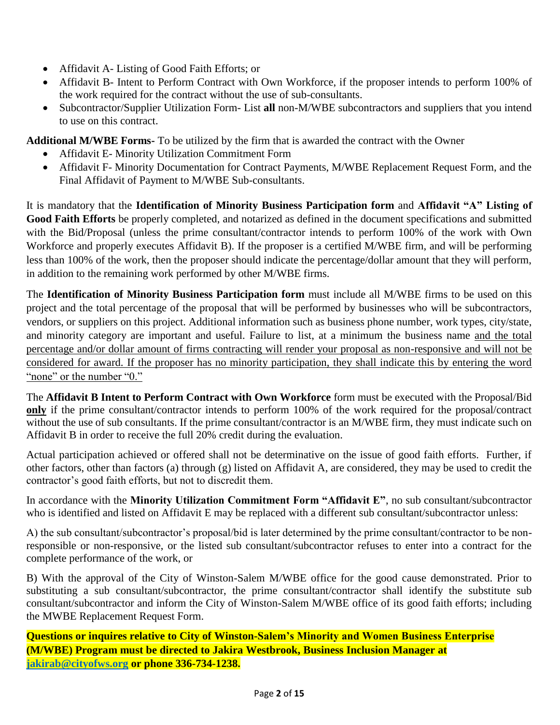- Affidavit A- Listing of Good Faith Efforts; or
- Affidavit B- Intent to Perform Contract with Own Workforce, if the proposer intends to perform 100% of the work required for the contract without the use of sub-consultants.
- Subcontractor/Supplier Utilization Form- List **all** non-M/WBE subcontractors and suppliers that you intend to use on this contract.

**Additional M/WBE Forms-** To be utilized by the firm that is awarded the contract with the Owner

- Affidavit E- Minority Utilization Commitment Form
- Affidavit F- Minority Documentation for Contract Payments, M/WBE Replacement Request Form, and the Final Affidavit of Payment to M/WBE Sub-consultants.

It is mandatory that the **Identification of Minority Business Participation form** and **Affidavit "A" Listing of Good Faith Efforts** be properly completed, and notarized as defined in the document specifications and submitted with the Bid/Proposal (unless the prime consultant/contractor intends to perform 100% of the work with Own Workforce and properly executes Affidavit B). If the proposer is a certified M/WBE firm, and will be performing less than 100% of the work, then the proposer should indicate the percentage/dollar amount that they will perform, in addition to the remaining work performed by other M/WBE firms.

The **Identification of Minority Business Participation form** must include all M/WBE firms to be used on this project and the total percentage of the proposal that will be performed by businesses who will be subcontractors, vendors, or suppliers on this project. Additional information such as business phone number, work types, city/state, and minority category are important and useful. Failure to list, at a minimum the business name and the total percentage and/or dollar amount of firms contracting will render your proposal as non-responsive and will not be considered for award. If the proposer has no minority participation, they shall indicate this by entering the word "none" or the number "0."

The **Affidavit B Intent to Perform Contract with Own Workforce** form must be executed with the Proposal/Bid **only** if the prime consultant/contractor intends to perform 100% of the work required for the proposal/contract without the use of sub consultants. If the prime consultant/contractor is an M/WBE firm, they must indicate such on Affidavit B in order to receive the full 20% credit during the evaluation.

Actual participation achieved or offered shall not be determinative on the issue of good faith efforts. Further, if other factors, other than factors (a) through (g) listed on Affidavit A, are considered, they may be used to credit the contractor's good faith efforts, but not to discredit them.

In accordance with the **Minority Utilization Commitment Form "Affidavit E"**, no sub consultant/subcontractor who is identified and listed on Affidavit E may be replaced with a different sub consultant/subcontractor unless:

A) the sub consultant/subcontractor's proposal/bid is later determined by the prime consultant/contractor to be nonresponsible or non-responsive, or the listed sub consultant/subcontractor refuses to enter into a contract for the complete performance of the work, or

B) With the approval of the City of Winston-Salem M/WBE office for the good cause demonstrated. Prior to substituting a sub consultant/subcontractor, the prime consultant/contractor shall identify the substitute sub consultant/subcontractor and inform the City of Winston-Salem M/WBE office of its good faith efforts; including the MWBE Replacement Request Form.

**Questions or inquires relative to City of Winston-Salem's Minority and Women Business Enterprise (M/WBE) Program must be directed to Jakira Westbrook, Business Inclusion Manager at [jakirab@cityofws.org](mailto:jakirab@cityofws.org) or phone 336-734-1238.**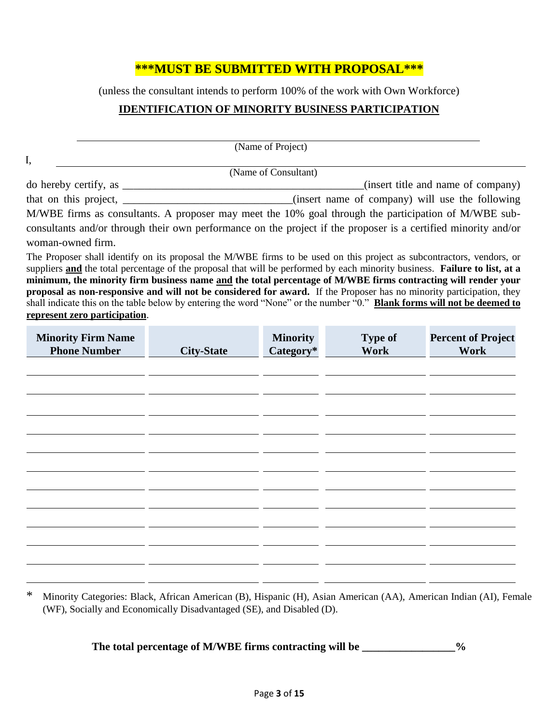# **\*\*\*MUST BE SUBMITTED WITH PROPOSAL\*\*\***

(unless the consultant intends to perform 100% of the work with Own Workforce)

#### **IDENTIFICATION OF MINORITY BUSINESS PARTICIPATION**

|                                                                                                                                | (Name of Project)    |                |                                                 |
|--------------------------------------------------------------------------------------------------------------------------------|----------------------|----------------|-------------------------------------------------|
| I,                                                                                                                             |                      |                |                                                 |
|                                                                                                                                | (Name of Consultant) |                |                                                 |
| $\alpha$ do hereby certify, as $\frac{1}{\alpha}$                                                                              |                      |                | (insert title and name of company)              |
| that on this project, $\_\_$                                                                                                   |                      |                | (insert name of company) will use the following |
| M/WBE firms as consultants. A proposer may meet the 10% goal through the participation of M/WBE sub-                           |                      |                |                                                 |
| consultants and/or through their own performance on the project if the proposer is a certified minority and/or                 |                      |                |                                                 |
| woman-owned firm.                                                                                                              |                      |                |                                                 |
| The Proposer shall identify on its proposal the M/WBE firms to be used on this project as subcontractors, vendors, or          |                      |                |                                                 |
| suppliers and the total percentage of the proposal that will be performed by each minority business. Failure to list, at a     |                      |                |                                                 |
| minimum, the minority firm business name and the total percentage of M/WBE firms contracting will render your                  |                      |                |                                                 |
| proposal as non-responsive and will not be considered for award. If the Proposer has no minority participation, they           |                      |                |                                                 |
| shall indicate this on the table below by entering the word "None" or the number "0." <b>Blank forms will not be deemed to</b> |                      |                |                                                 |
| represent zero participation.                                                                                                  |                      |                |                                                 |
| <b>Minority Firm Name</b>                                                                                                      | <b>Minority</b>      | <b>Type of</b> | <b>Percent of Project</b>                       |

| <b>NUTROLITY FIFTH INSHITE</b> |                   | <b>миногну</b> | <b>T</b> Abe of | <b>Fercent of Froject</b> |
|--------------------------------|-------------------|----------------|-----------------|---------------------------|
| <b>Phone Number</b>            | <b>City-State</b> | Category*      | Work            | Work                      |
|                                |                   |                |                 |                           |
|                                |                   |                |                 |                           |
|                                |                   |                |                 |                           |
|                                |                   |                |                 |                           |
|                                |                   |                |                 |                           |
|                                |                   |                |                 |                           |
|                                |                   |                |                 |                           |
|                                |                   |                |                 |                           |
|                                |                   |                |                 |                           |
|                                |                   |                |                 |                           |
|                                |                   |                |                 |                           |
|                                |                   |                |                 |                           |
|                                |                   |                |                 |                           |
|                                |                   |                |                 |                           |
|                                |                   |                |                 |                           |
|                                |                   |                |                 |                           |
|                                |                   |                |                 |                           |
|                                |                   |                |                 |                           |
|                                |                   |                |                 |                           |
|                                |                   |                |                 |                           |
|                                |                   |                |                 |                           |
|                                |                   |                |                 |                           |
|                                |                   |                |                 |                           |
|                                |                   |                |                 |                           |
|                                |                   |                |                 |                           |
|                                |                   |                |                 |                           |

\* Minority Categories: Black, African American (B), Hispanic (H), Asian American (AA), American Indian (AI), Female (WF), Socially and Economically Disadvantaged (SE), and Disabled (D).

The total percentage of M/WBE firms contracting will be \_\_\_\_\_\_\_\_\_\_\_\_\_\_\_\_%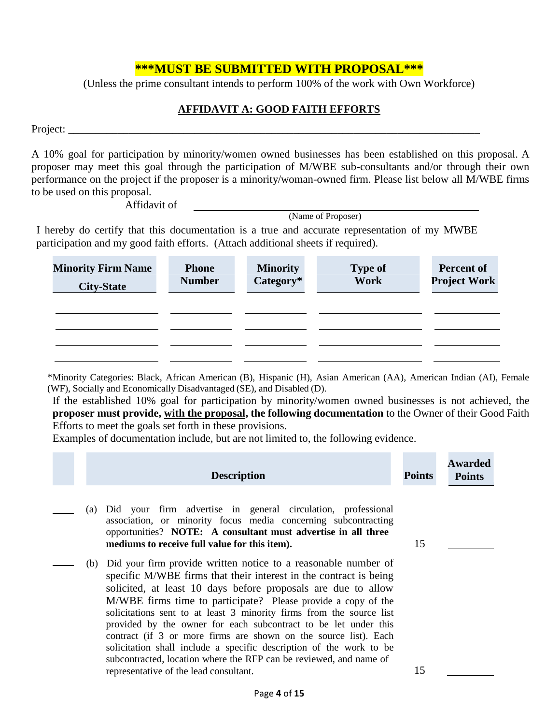## **\*\*\*MUST BE SUBMITTED WITH PROPOSAL\*\*\***

(Unless the prime consultant intends to perform 100% of the work with Own Workforce)

#### **AFFIDAVIT A: GOOD FAITH EFFORTS**

Project:

A 10% goal for participation by minority/women owned businesses has been established on this proposal. A proposer may meet this goal through the participation of M/WBE sub-consultants and/or through their own performance on the project if the proposer is a minority/woman-owned firm. Please list below all M/WBE firms to be used on this proposal.

Affidavit of

(Name of Proposer)

I hereby do certify that this documentation is a true and accurate representation of my MWBE participation and my good faith efforts. (Attach additional sheets if required).

| <b>Minority Firm Name</b><br><b>City-State</b> | <b>Phone</b><br><b>Number</b> | <b>Minority</b><br>Category* | <b>Type of</b><br>Work | <b>Percent of</b><br><b>Project Work</b> |
|------------------------------------------------|-------------------------------|------------------------------|------------------------|------------------------------------------|
|                                                |                               |                              |                        |                                          |
|                                                |                               |                              |                        |                                          |
|                                                |                               |                              |                        |                                          |
|                                                |                               |                              |                        |                                          |

\*Minority Categories: Black, African American (B), Hispanic (H), Asian American (AA), American Indian (AI), Female (WF), Socially and Economically Disadvantaged (SE), and Disabled (D).

If the established 10% goal for participation by minority/women owned businesses is not achieved, the **proposer must provide, with the proposal, the following documentation** to the Owner of their Good Faith Efforts to meet the goals set forth in these provisions.

Examples of documentation include, but are not limited to, the following evidence.

|     | <b>Description</b>                                                                                                                                                                                                                                                                                                                                                                                                                                                                                                                                                                                                                                                              | <b>Points</b> | <b>Awarded</b><br><b>Points</b> |
|-----|---------------------------------------------------------------------------------------------------------------------------------------------------------------------------------------------------------------------------------------------------------------------------------------------------------------------------------------------------------------------------------------------------------------------------------------------------------------------------------------------------------------------------------------------------------------------------------------------------------------------------------------------------------------------------------|---------------|---------------------------------|
| (a) | Did your firm advertise in general circulation, professional<br>association, or minority focus media concerning subcontracting<br>opportunities? NOTE: A consultant must advertise in all three<br>mediums to receive full value for this item).                                                                                                                                                                                                                                                                                                                                                                                                                                | 15            |                                 |
|     | (b) Did your firm provide written notice to a reasonable number of<br>specific M/WBE firms that their interest in the contract is being<br>solicited, at least 10 days before proposals are due to allow<br>M/WBE firms time to participate? Please provide a copy of the<br>solicitations sent to at least 3 minority firms from the source list<br>provided by the owner for each subcontract to be let under this<br>contract (if 3 or more firms are shown on the source list). Each<br>solicitation shall include a specific description of the work to be<br>subcontracted, location where the RFP can be reviewed, and name of<br>representative of the lead consultant. | 15            |                                 |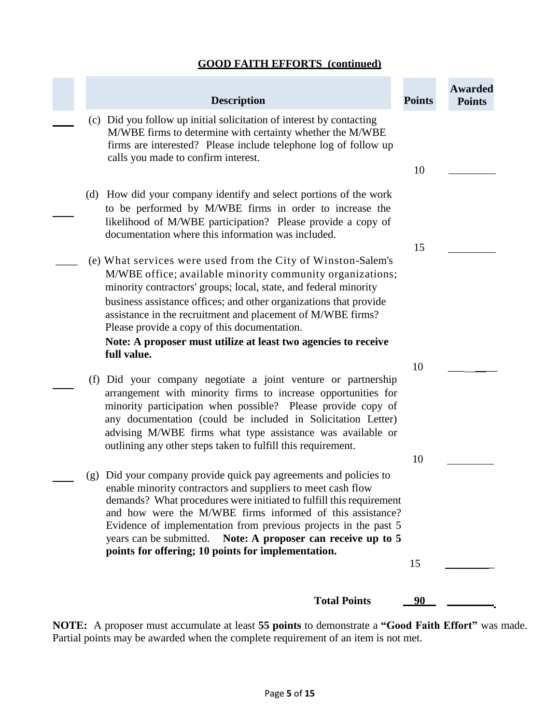## **GOOD FAITH EFFORTS (continued)**

×

|     | <b>Description</b>                                                                                                                                                                                                                                                                                                                                                                                                                                           | <b>Points</b> | <b>Awarded</b><br><b>Points</b> |
|-----|--------------------------------------------------------------------------------------------------------------------------------------------------------------------------------------------------------------------------------------------------------------------------------------------------------------------------------------------------------------------------------------------------------------------------------------------------------------|---------------|---------------------------------|
|     | (c) Did you follow up initial solicitation of interest by contacting<br>M/WBE firms to determine with certainty whether the M/WBE<br>firms are interested? Please include telephone log of follow up<br>calls you made to confirm interest.                                                                                                                                                                                                                  |               |                                 |
|     |                                                                                                                                                                                                                                                                                                                                                                                                                                                              | 10            |                                 |
|     | (d) How did your company identify and select portions of the work<br>to be performed by M/WBE firms in order to increase the<br>likelihood of M/WBE participation? Please provide a copy of<br>documentation where this information was included.                                                                                                                                                                                                            |               |                                 |
|     | (e) What services were used from the City of Winston-Salem's<br>M/WBE office; available minority community organizations;<br>minority contractors' groups; local, state, and federal minority<br>business assistance offices; and other organizations that provide<br>assistance in the recruitment and placement of M/WBE firms?<br>Please provide a copy of this documentation.<br>Note: A proposer must utilize at least two agencies to receive          | 15            |                                 |
|     | full value.                                                                                                                                                                                                                                                                                                                                                                                                                                                  | 10            |                                 |
|     | (f) Did your company negotiate a joint venture or partnership<br>arrangement with minority firms to increase opportunities for<br>minority participation when possible? Please provide copy of<br>any documentation (could be included in Solicitation Letter)<br>advising M/WBE firms what type assistance was available or<br>outlining any other steps taken to fulfill this requirement.                                                                 |               |                                 |
|     |                                                                                                                                                                                                                                                                                                                                                                                                                                                              | 10            |                                 |
| (g) | Did your company provide quick pay agreements and policies to<br>enable minority contractors and suppliers to meet cash flow<br>demands? What procedures were initiated to fulfill this requirement<br>and how were the M/WBE firms informed of this assistance?<br>Evidence of implementation from previous projects in the past 5<br>years can be submitted.<br>Note: A proposer can receive up to 5<br>points for offering; 10 points for implementation. | 15            |                                 |
|     |                                                                                                                                                                                                                                                                                                                                                                                                                                                              |               |                                 |
|     | <b>Total Points</b>                                                                                                                                                                                                                                                                                                                                                                                                                                          | 90            |                                 |

**NOTE:** A proposer must accumulate at least **55 points** to demonstrate a **"Good Faith Effort"** was made. Partial points may be awarded when the complete requirement of an item is not met.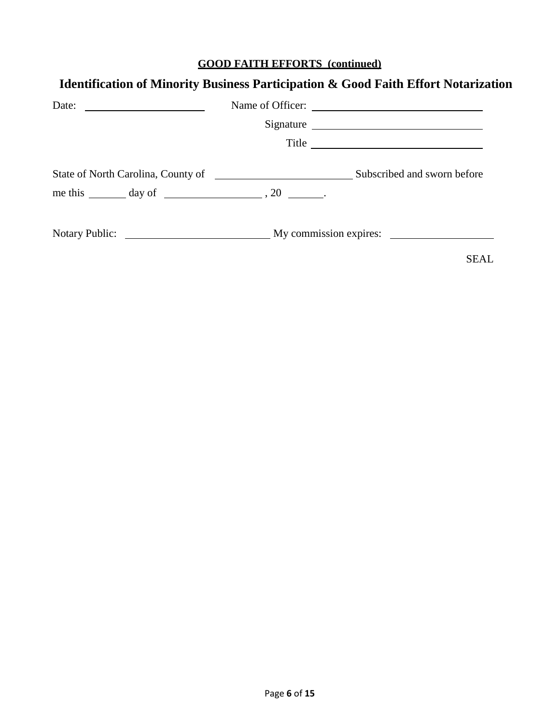# **GOOD FAITH EFFORTS (continued)**

| Date: $\frac{1}{\sqrt{1-\frac{1}{2}} \cdot \frac{1}{2}}$        | Signature<br>Title $\overline{\phantom{a}}$          |
|-----------------------------------------------------------------|------------------------------------------------------|
| me this $\_\_\_\_\$ day of $\_\_\_\_\_\_\$ , 20 $\_\_\_\_\_\$ . |                                                      |
|                                                                 | Notary Public: My commission expires:<br><b>SEAL</b> |

# **Identification of Minority Business Participation & Good Faith Effort Notarization**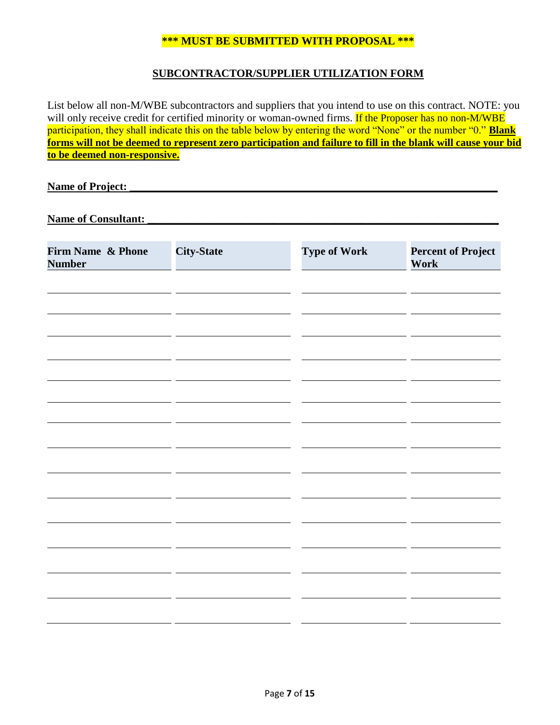#### **\*\*\* MUST BE SUBMITTED WITH PROPOSAL \*\*\***

#### **SUBCONTRACTOR/SUPPLIER UTILIZATION FORM**

List below all non-M/WBE subcontractors and suppliers that you intend to use on this contract. NOTE: you will only receive credit for certified minority or woman-owned firms. If the Proposer has no non-M/WBE participation, they shall indicate this on the table below by entering the word "None" or the number "0." **Blank forms will not be deemed to represent zero participation and failure to fill in the blank will cause your bid to be deemed non-responsive.**

**Name of Project:** 

Name of Consultant:

| Firm Name & Phone<br><b>Number</b> | <b>City-State</b> | <b>Type of Work</b> | <b>Percent of Project</b><br>Work |
|------------------------------------|-------------------|---------------------|-----------------------------------|
|                                    |                   |                     |                                   |
|                                    |                   |                     |                                   |
|                                    |                   |                     |                                   |
|                                    |                   |                     |                                   |
|                                    |                   |                     |                                   |
|                                    |                   |                     |                                   |
|                                    |                   |                     |                                   |
|                                    |                   |                     |                                   |
|                                    |                   |                     |                                   |
|                                    |                   |                     |                                   |
|                                    |                   |                     |                                   |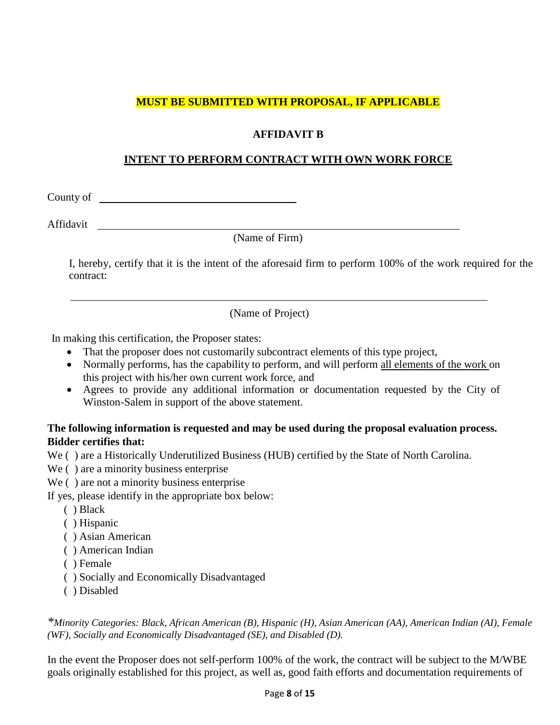## **MUST BE SUBMITTED WITH PROPOSAL, IF APPLICABLE**

## **AFFIDAVIT B**

#### **INTENT TO PERFORM CONTRACT WITH OWN WORK FORCE**

County of

Affidavit

(Name of Firm)

I, hereby, certify that it is the intent of the aforesaid firm to perform 100% of the work required for the contract:

(Name of Project)

In making this certification, the Proposer states:

- That the proposer does not customarily subcontract elements of this type project,
- Normally performs, has the capability to perform, and will perform all elements of the work on this project with his/her own current work force, and
- Agrees to provide any additional information or documentation requested by the City of Winston-Salem in support of the above statement.

## **The following information is requested and may be used during the proposal evaluation process. Bidder certifies that:**

We ( ) are a Historically Underutilized Business (HUB) certified by the State of North Carolina.

We ( ) are a minority business enterprise

We ( ) are not a minority business enterprise

- If yes, please identify in the appropriate box below:
	- ( ) Black
	- ( ) Hispanic
	- ( ) Asian American
	- ( ) American Indian
	- ( ) Female
	- ( ) Socially and Economically Disadvantaged
	- ( ) Disabled

*\*Minority Categories: Black, African American (B), Hispanic (H), Asian American (AA), American Indian (AI), Female (WF), Socially and Economically Disadvantaged (SE), and Disabled (D).*

In the event the Proposer does not self-perform 100% of the work, the contract will be subject to the M/WBE goals originally established for this project, as well as, good faith efforts and documentation requirements of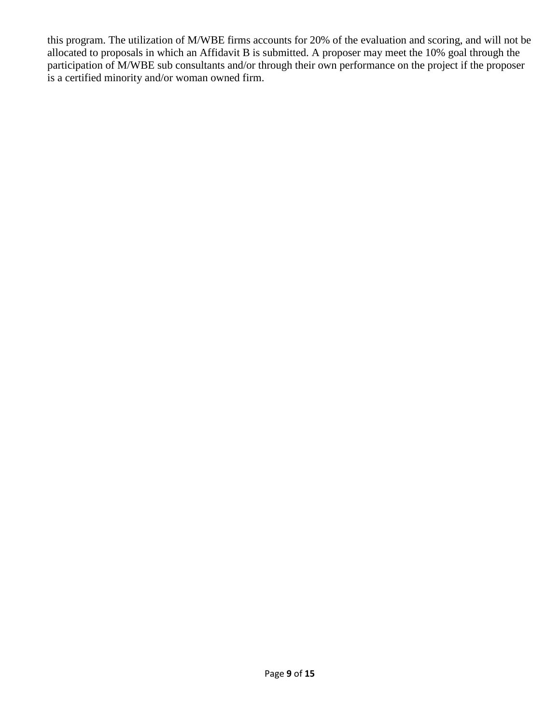this program. The utilization of M/WBE firms accounts for 20% of the evaluation and scoring, and will not be allocated to proposals in which an Affidavit B is submitted. A proposer may meet the 10% goal through the participation of M/WBE sub consultants and/or through their own performance on the project if the proposer is a certified minority and/or woman owned firm.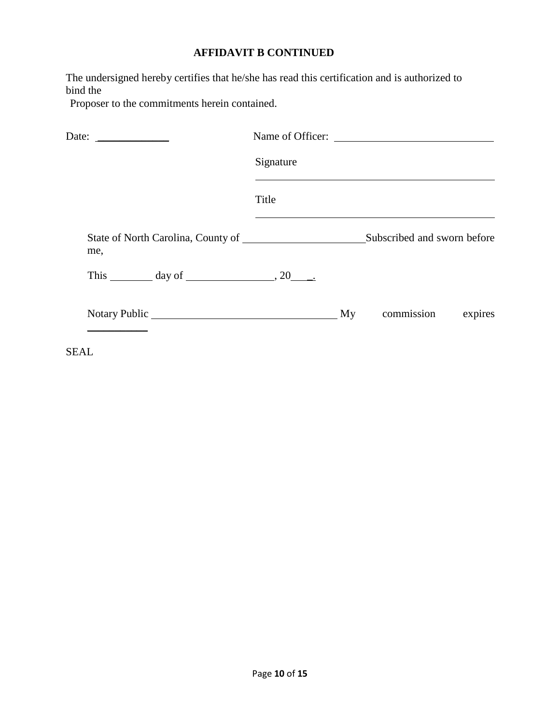# **AFFIDAVIT B CONTINUED**

The undersigned hereby certifies that he/she has read this certification and is authorized to bind the

Proposer to the commitments herein contained.

| Date: $\frac{1}{\sqrt{1-\frac{1}{2}} \cdot \frac{1}{2}}$  |           | Name of Officer:            |  |
|-----------------------------------------------------------|-----------|-----------------------------|--|
|                                                           | Signature |                             |  |
|                                                           | Title     |                             |  |
| me,                                                       |           | Subscribed and sworn before |  |
| This $\_\_\_\_\_\_\$ day of $\_\_\_\_\_\_\_\_\_\_\_\_\.\$ |           |                             |  |
|                                                           |           |                             |  |

SEAL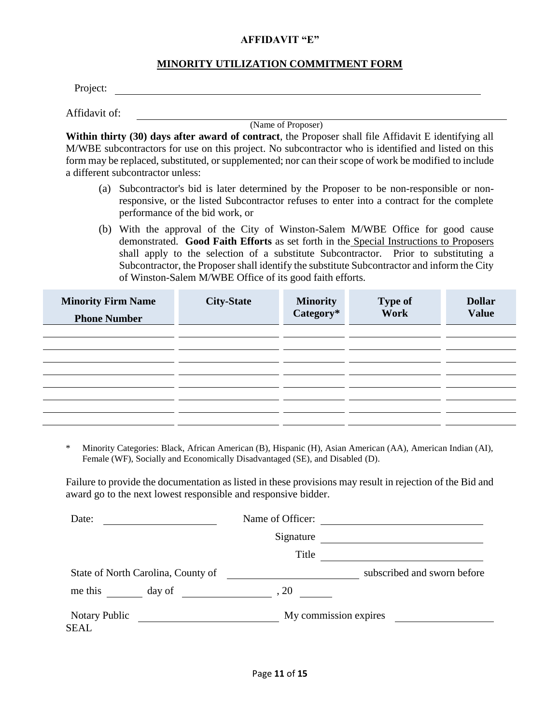#### **AFFIDAVIT "E"**

#### **MINORITY UTILIZATION COMMITMENT FORM**

Project:

Affidavit of:

(Name of Proposer)

**Within thirty (30) days after award of contract**, the Proposer shall file Affidavit E identifying all M/WBE subcontractors for use on this project. No subcontractor who is identified and listed on this form may be replaced, substituted, or supplemented; nor can their scope of work be modified to include a different subcontractor unless:

- (a) Subcontractor's bid is later determined by the Proposer to be non-responsible or nonresponsive, or the listed Subcontractor refuses to enter into a contract for the complete performance of the bid work, or
- (b) With the approval of the City of Winston-Salem M/WBE Office for good cause demonstrated. **Good Faith Efforts** as set forth in the Special Instructions to Proposers shall apply to the selection of a substitute Subcontractor. Prior to substituting a Subcontractor, the Proposer shall identify the substitute Subcontractor and inform the City of Winston-Salem M/WBE Office of its good faith efforts.

| <b>Minority Firm Name</b><br><b>Phone Number</b> | <b>City-State</b> | <b>Minority<br/>Category*</b> | <b>Type of</b><br>Work | <b>Dollar</b><br><b>Value</b> |
|--------------------------------------------------|-------------------|-------------------------------|------------------------|-------------------------------|
|                                                  |                   |                               |                        |                               |
|                                                  |                   |                               |                        |                               |
|                                                  |                   |                               |                        |                               |
|                                                  |                   |                               |                        |                               |

\* Minority Categories: Black, African American (B), Hispanic (H), Asian American (AA), American Indian (AI), Female (WF), Socially and Economically Disadvantaged (SE), and Disabled (D).

Failure to provide the documentation as listed in these provisions may result in rejection of the Bid and award go to the next lowest responsible and responsive bidder.

| Date:                              |        | Name of Officer: |                             |
|------------------------------------|--------|------------------|-----------------------------|
|                                    |        | Signature        |                             |
|                                    |        | Title            |                             |
| State of North Carolina, County of |        |                  | subscribed and sworn before |
| me this                            | day of | .20              |                             |
| Notary Public<br>SEAL              |        |                  | My commission expires       |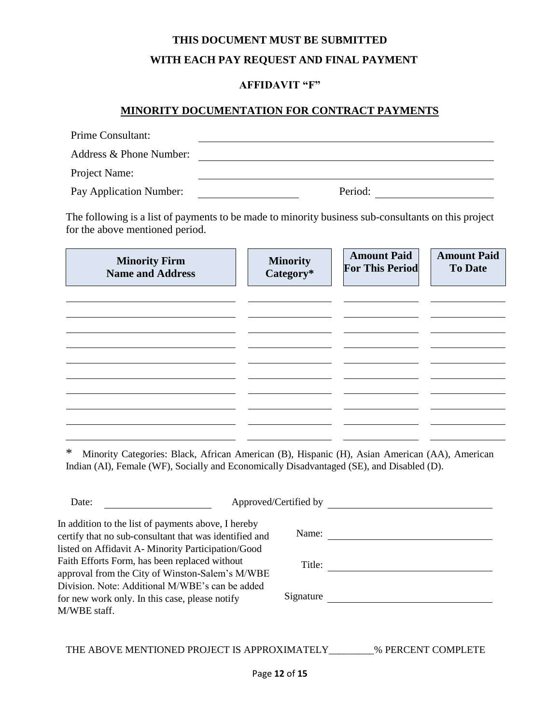# **THIS DOCUMENT MUST BE SUBMITTED WITH EACH PAY REQUEST AND FINAL PAYMENT**

#### **AFFIDAVIT "F"**

#### **MINORITY DOCUMENTATION FOR CONTRACT PAYMENTS**

| Prime Consultant:       |         |
|-------------------------|---------|
| Address & Phone Number: |         |
| Project Name:           |         |
| Pay Application Number: | Period: |

The following is a list of payments to be made to minority business sub-consultants on this project for the above mentioned period.

| <b>Minority Firm</b><br><b>Name and Address</b> | <b>Minority</b><br>Category* | <b>Amount Paid</b><br><b>For This Period</b> | <b>Amount Paid</b><br><b>To Date</b> |
|-------------------------------------------------|------------------------------|----------------------------------------------|--------------------------------------|
|                                                 |                              |                                              |                                      |
|                                                 |                              |                                              |                                      |
|                                                 |                              |                                              |                                      |
|                                                 |                              |                                              |                                      |

|  | * Minority Categories: Black, African American (B), Hispanic (H), Asian American (AA), American |  |  |  |  |  |
|--|-------------------------------------------------------------------------------------------------|--|--|--|--|--|
|  | Indian (AI), Female (WF), Socially and Economically Disadvantaged (SE), and Disabled (D).       |  |  |  |  |  |

| Date:                                                                                                                                                              | Approved/Certified by |                    |
|--------------------------------------------------------------------------------------------------------------------------------------------------------------------|-----------------------|--------------------|
| In addition to the list of payments above, I hereby<br>certify that no sub-consultant that was identified and<br>listed on Affidavit A-Minority Participation/Good | Name:                 |                    |
| Faith Efforts Form, has been replaced without<br>approval from the City of Winston-Salem's M/WBE                                                                   | Title:                |                    |
| Division. Note: Additional M/WBE's can be added<br>for new work only. In this case, please notify<br>M/WBE staff.                                                  | Signature             |                    |
| THE ABOVE MENTIONED PROJECT IS APPROXIMATELY                                                                                                                       |                       | % PERCENT COMPLETE |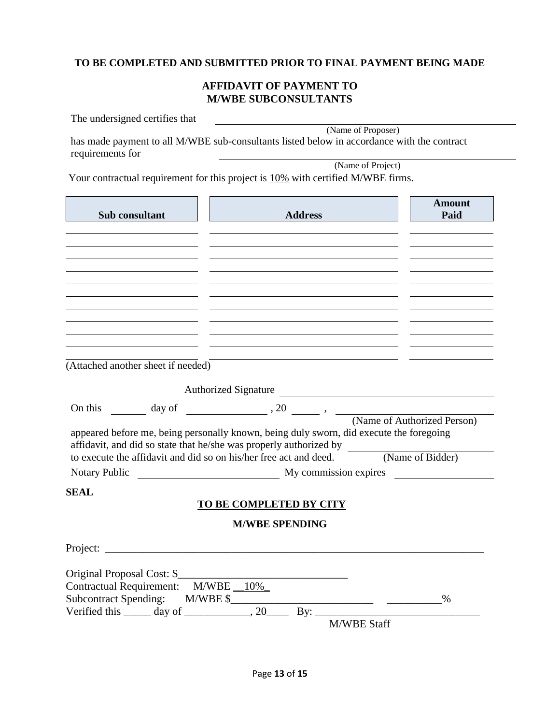## **TO BE COMPLETED AND SUBMITTED PRIOR TO FINAL PAYMENT BEING MADE**

#### **AFFIDAVIT OF PAYMENT TO M/WBE SUBCONSULTANTS**

|                  | The undersigned certifies that     |                                                                                                                                                                  |                  |
|------------------|------------------------------------|------------------------------------------------------------------------------------------------------------------------------------------------------------------|------------------|
| requirements for |                                    | (Name of Proposer)<br>has made payment to all M/WBE sub-consultants listed below in accordance with the contract                                                 |                  |
|                  |                                    | (Name of Project)                                                                                                                                                |                  |
|                  |                                    | Your contractual requirement for this project is 10% with certified M/WBE firms.                                                                                 |                  |
|                  | Sub consultant                     | <b>Address</b>                                                                                                                                                   | Amount<br>Paid   |
|                  |                                    |                                                                                                                                                                  |                  |
|                  |                                    |                                                                                                                                                                  |                  |
|                  |                                    |                                                                                                                                                                  |                  |
|                  |                                    |                                                                                                                                                                  |                  |
|                  |                                    |                                                                                                                                                                  |                  |
|                  |                                    |                                                                                                                                                                  |                  |
|                  |                                    |                                                                                                                                                                  |                  |
|                  |                                    |                                                                                                                                                                  |                  |
|                  | (Attached another sheet if needed) |                                                                                                                                                                  |                  |
|                  |                                    |                                                                                                                                                                  |                  |
|                  |                                    | Authorized Signature                                                                                                                                             |                  |
| On this          |                                    | $\frac{1}{\sqrt{2\pi}}$ day of $\frac{1}{\sqrt{2\pi}}$ , $\frac{1}{\sqrt{2\pi}}$ , $\frac{1}{\sqrt{2\pi}}$ , $\frac{1}{\sqrt{2\pi}}$ (Name of Authorized Person) |                  |
|                  |                                    | appeared before me, being personally known, being duly sworn, did execute the foregoing<br>affidavit, and did so state that he/she was properly authorized by    |                  |
|                  |                                    | to execute the affidavit and did so on his/her free act and deed.                                                                                                | (Name of Bidder) |
| Notary Public    |                                    | My commission expires <b>My</b> commission expires                                                                                                               |                  |
| <b>SEAL</b>      |                                    |                                                                                                                                                                  |                  |
|                  |                                    | <b>TO BE COMPLETED BY CITY</b>                                                                                                                                   |                  |
|                  |                                    | <b>M/WBE SPENDING</b>                                                                                                                                            |                  |
|                  |                                    |                                                                                                                                                                  |                  |
|                  |                                    |                                                                                                                                                                  |                  |
|                  |                                    | Original Proposal Cost: \$                                                                                                                                       |                  |
|                  | Contractual Requirement: M/WBE 10% |                                                                                                                                                                  |                  |
|                  |                                    |                                                                                                                                                                  |                  |
|                  |                                    |                                                                                                                                                                  |                  |
|                  |                                    | <b>M/WBE Staff</b>                                                                                                                                               |                  |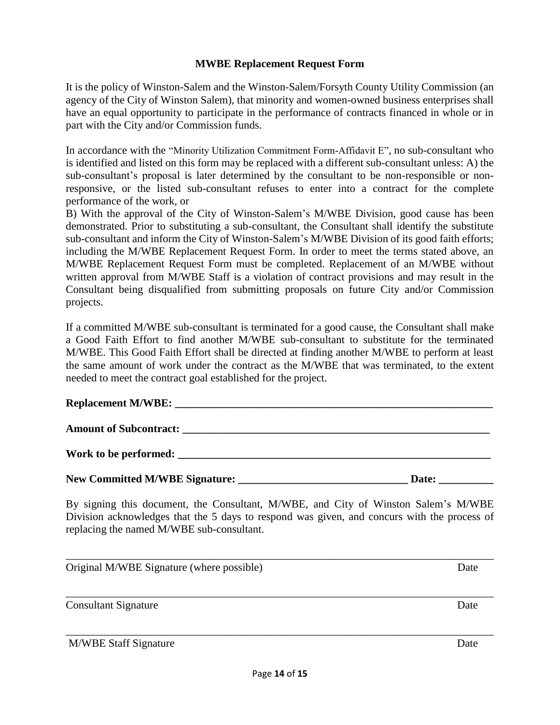#### **MWBE Replacement Request Form**

It is the policy of Winston-Salem and the Winston-Salem/Forsyth County Utility Commission (an agency of the City of Winston Salem), that minority and women-owned business enterprises shall have an equal opportunity to participate in the performance of contracts financed in whole or in part with the City and/or Commission funds.

In accordance with the "Minority Utilization Commitment Form-Affidavit E", no sub-consultant who is identified and listed on this form may be replaced with a different sub-consultant unless: A) the sub-consultant's proposal is later determined by the consultant to be non-responsible or nonresponsive, or the listed sub-consultant refuses to enter into a contract for the complete performance of the work, or

B) With the approval of the City of Winston-Salem's M/WBE Division, good cause has been demonstrated. Prior to substituting a sub-consultant, the Consultant shall identify the substitute sub-consultant and inform the City of Winston-Salem's M/WBE Division of its good faith efforts; including the M/WBE Replacement Request Form. In order to meet the terms stated above, an M/WBE Replacement Request Form must be completed. Replacement of an M/WBE without written approval from M/WBE Staff is a violation of contract provisions and may result in the Consultant being disqualified from submitting proposals on future City and/or Commission projects.

If a committed M/WBE sub-consultant is terminated for a good cause, the Consultant shall make a Good Faith Effort to find another M/WBE sub-consultant to substitute for the terminated M/WBE. This Good Faith Effort shall be directed at finding another M/WBE to perform at least the same amount of work under the contract as the M/WBE that was terminated, to the extent needed to meet the contract goal established for the project.

#### **Replacement M/WBE: \_\_\_\_\_\_\_\_\_\_\_\_\_\_\_\_\_\_\_\_\_\_\_\_\_\_\_\_\_\_\_\_\_\_\_\_\_\_\_\_\_\_\_\_\_\_\_\_\_\_\_\_\_\_\_\_\_\_**

Amount of Subcontract:

Work to be performed:

| New Committed M/WBE Signature: | Date: |
|--------------------------------|-------|
|                                |       |

By signing this document, the Consultant, M/WBE, and City of Winston Salem's M/WBE Division acknowledges that the 5 days to respond was given, and concurs with the process of replacing the named M/WBE sub-consultant.

\_\_\_\_\_\_\_\_\_\_\_\_\_\_\_\_\_\_\_\_\_\_\_\_\_\_\_\_\_\_\_\_\_\_\_\_\_\_\_\_\_\_\_\_\_\_\_\_\_\_\_\_\_\_\_\_\_\_\_\_\_\_\_\_\_\_\_\_\_\_\_\_\_\_\_\_\_\_ Original M/WBE Signature (where possible) Date \_\_\_\_\_\_\_\_\_\_\_\_\_\_\_\_\_\_\_\_\_\_\_\_\_\_\_\_\_\_\_\_\_\_\_\_\_\_\_\_\_\_\_\_\_\_\_\_\_\_\_\_\_\_\_\_\_\_\_\_\_\_\_\_\_\_\_\_\_\_\_\_\_\_\_\_\_\_

Consultant Signature Date

\_\_\_\_\_\_\_\_\_\_\_\_\_\_\_\_\_\_\_\_\_\_\_\_\_\_\_\_\_\_\_\_\_\_\_\_\_\_\_\_\_\_\_\_\_\_\_\_\_\_\_\_\_\_\_\_\_\_\_\_\_\_\_\_\_\_\_\_\_\_\_\_\_\_\_\_\_\_